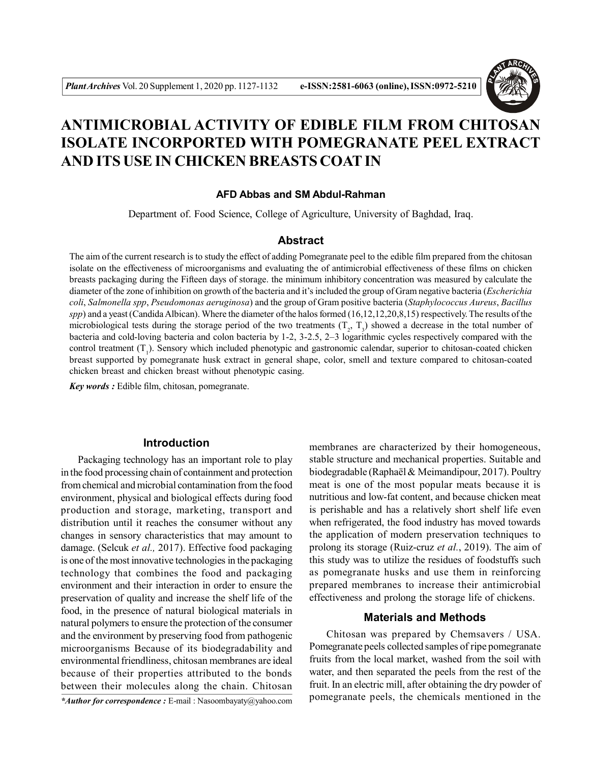

# **ANTIMICROBIAL ACTIVITY OF EDIBLE FILM FROM CHITOSAN ISOLATE INCORPORTED WITH POMEGRANATE PEEL EXTRACT AND ITS USE IN CHICKEN BREASTS COAT IN**

#### **AFD Abbas and SM Abdul-Rahman**

Department of. Food Science, College of Agriculture, University of Baghdad, Iraq.

# **Abstract**

The aim of the current research is to study the effect of adding Pomegranate peel to the edible film prepared from the chitosan isolate on the effectiveness of microorganisms and evaluating the of antimicrobial effectiveness of these films on chicken breasts packaging during the Fifteen days of storage. the minimum inhibitory concentration was measured by calculate the diameter of the zone of inhibition on growth of the bacteria and it's included the group of Gram negative bacteria (*Escherichia coli*, *Salmonella spp*, *Pseudomonas aeruginosa*) and the group of Gram positive bacteria (*Staphylococcus Aureus*, *Bacillus spp*) and a yeast (Candida Albican). Where the diameter of the halos formed (16,12,12,20,8,15) respectively. The results of the microbiological tests during the storage period of the two treatments  $(T_2, T_3)$  showed a decrease in the total number of bacteria and cold-loving bacteria and colon bacteria by 1-2, 3-2.5, 2–3 logarithmic cycles respectively compared with the control treatment  $(T_1)$ . Sensory which included phenotypic and gastronomic calendar, superior to chitosan-coated chicken breast supported by pomegranate husk extract in general shape, color, smell and texture compared to chitosan-coated chicken breast and chicken breast without phenotypic casing.

*Key words :* Edible film, chitosan, pomegranate.

## **Introduction**

Packaging technology has an important role to play in the food processing chain of containment and protection from chemical and microbial contamination from the food environment, physical and biological effects during food production and storage, marketing, transport and distribution until it reaches the consumer without any changes in sensory characteristics that may amount to damage. (Selcuk *et al.,* 2017). Effective food packaging is one of the most innovative technologies in the packaging technology that combines the food and packaging environment and their interaction in order to ensure the preservation of quality and increase the shelf life of the food, in the presence of natural biological materials in natural polymers to ensure the protection of the consumer and the environment by preserving food from pathogenic microorganisms Because of its biodegradability and environmental friendliness, chitosan membranes are ideal because of their properties attributed to the bonds between their molecules along the chain. Chitosan

*\*Author for correspondence :* E-mail : Nasoombayaty@yahoo.com

membranes are characterized by their homogeneous, stable structure and mechanical properties. Suitable and biodegradable (Raphaël & Meimandipour, 2017). Poultry meat is one of the most popular meats because it is nutritious and low-fat content, and because chicken meat is perishable and has a relatively short shelf life even when refrigerated, the food industry has moved towards the application of modern preservation techniques to prolong its storage (Ruiz-cruz *et al.*, 2019). The aim of this study was to utilize the residues of foodstuffs such as pomegranate husks and use them in reinforcing prepared membranes to increase their antimicrobial effectiveness and prolong the storage life of chickens.

## **Materials and Methods**

Chitosan was prepared by Chemsavers / USA. Pomegranate peels collected samples of ripe pomegranate fruits from the local market, washed from the soil with water, and then separated the peels from the rest of the fruit. In an electric mill, after obtaining the dry powder of pomegranate peels, the chemicals mentioned in the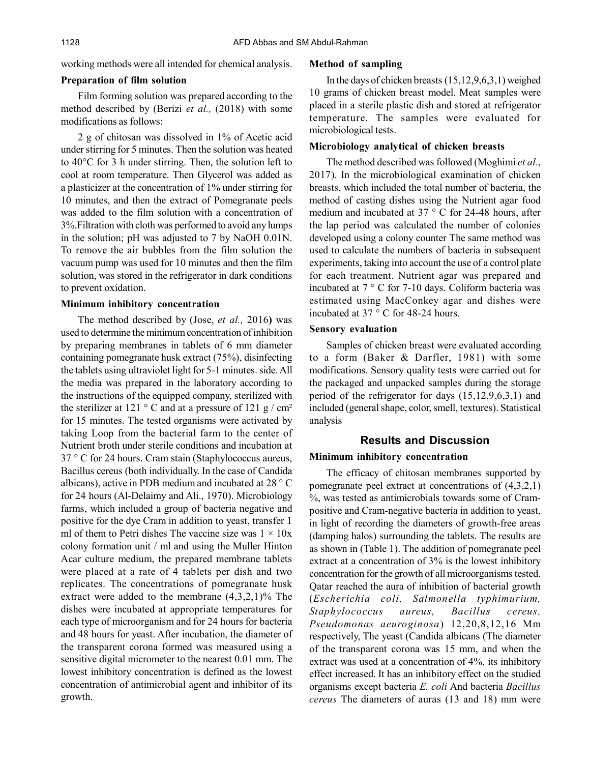working methods were all intended for chemical analysis.

### **Preparation of film solution**

Film forming solution was prepared according to the method described by (Berizi *et al.,* (2018) with some modifications as follows:

2 g of chitosan was dissolved in 1% of Acetic acid under stirring for 5 minutes. Then the solution was heated to 40°C for 3 h under stirring. Then, the solution left to cool at room temperature. Then Glycerol was added as a plasticizer at the concentration of 1% under stirring for 10 minutes, and then the extract of Pomegranate peels was added to the film solution with a concentration of 3%.Filtration with cloth was performed to avoid any lumps in the solution; pH was adjusted to 7 by NaOH 0.01N. To remove the air bubbles from the film solution the vacuum pump was used for 10 minutes and then the film solution, was stored in the refrigerator in dark conditions to prevent oxidation.

## **Minimum inhibitory concentration**

The method described by (Jose, *et al.,* 2016**)** was used to determine the minimum concentration of inhibition by preparing membranes in tablets of 6 mm diameter containing pomegranate husk extract (75%), disinfecting the tablets using ultraviolet light for 5-1 minutes. side. All the media was prepared in the laboratory according to the instructions of the equipped company, sterilized with the sterilizer at 121  $\degree$  C and at a pressure of 121 g / cm<sup>2</sup> for 15 minutes. The tested organisms were activated by taking Loop from the bacterial farm to the center of Nutrient broth under sterile conditions and incubation at 37 ° C for 24 hours. Cram stain (Staphylococcus aureus, Bacillus cereus (both individually. In the case of Candida albicans), active in PDB medium and incubated at 28 ° C for 24 hours (Al-Delaimy and Ali., 1970). Microbiology farms, which included a group of bacteria negative and positive for the dye Cram in addition to yeast, transfer 1 ml of them to Petri dishes The vaccine size was  $1 \times 10x$ colony formation unit / ml and using the Muller Hinton Acar culture medium, the prepared membrane tablets were placed at a rate of 4 tablets per dish and two replicates. The concentrations of pomegranate husk extract were added to the membrane  $(4,3,2,1)\%$  The dishes were incubated at appropriate temperatures for each type of microorganism and for 24 hours for bacteria and 48 hours for yeast. After incubation, the diameter of the transparent corona formed was measured using a sensitive digital micrometer to the nearest 0.01 mm. The lowest inhibitory concentration is defined as the lowest concentration of antimicrobial agent and inhibitor of its growth.

## **Method of sampling**

In the days of chicken breasts (15,12,9,6,3,1) weighed 10 grams of chicken breast model. Meat samples were placed in a sterile plastic dish and stored at refrigerator temperature. The samples were evaluated for microbiological tests.

## **Microbiology analytical of chicken breasts**

The method described was followed (Moghimi *et al*., 2017). In the microbiological examination of chicken breasts, which included the total number of bacteria, the method of casting dishes using the Nutrient agar food medium and incubated at 37 ° C for 24-48 hours, after the lap period was calculated the number of colonies developed using a colony counter The same method was used to calculate the numbers of bacteria in subsequent experiments, taking into account the use of a control plate for each treatment. Nutrient agar was prepared and incubated at 7 ° C for 7-10 days. Coliform bacteria was estimated using MacConkey agar and dishes were incubated at 37 ° C for 48-24 hours.

## **Sensory evaluation**

Samples of chicken breast were evaluated according to a form (Baker & Darfler, 1981) with some modifications. Sensory quality tests were carried out for the packaged and unpacked samples during the storage period of the refrigerator for days (15,12,9,6,3,1) and included (general shape, color, smell, textures). Statistical analysis

# **Results and Discussion**

## **Minimum inhibitory concentration**

The efficacy of chitosan membranes supported by pomegranate peel extract at concentrations of (4,3,2,1) %, was tested as antimicrobials towards some of Crampositive and Cram-negative bacteria in addition to yeast, in light of recording the diameters of growth-free areas (damping halos) surrounding the tablets. The results are as shown in (Table 1). The addition of pomegranate peel extract at a concentration of 3% is the lowest inhibitory concentration for the growth of all microorganisms tested. Qatar reached the aura of inhibition of bacterial growth (*Escherichia coli, Salmonella typhimurium, Staphylococcus aureus, Bacillus cereus, Pseudomonas aeuroginosa*) 12,20,8,12,16 Mm respectively, The yeast (Candida albicans (The diameter of the transparent corona was 15 mm, and when the extract was used at a concentration of 4%, its inhibitory effect increased. It has an inhibitory effect on the studied organisms except bacteria *E. coli* And bacteria *Bacillus cereus* The diameters of auras (13 and 18) mm were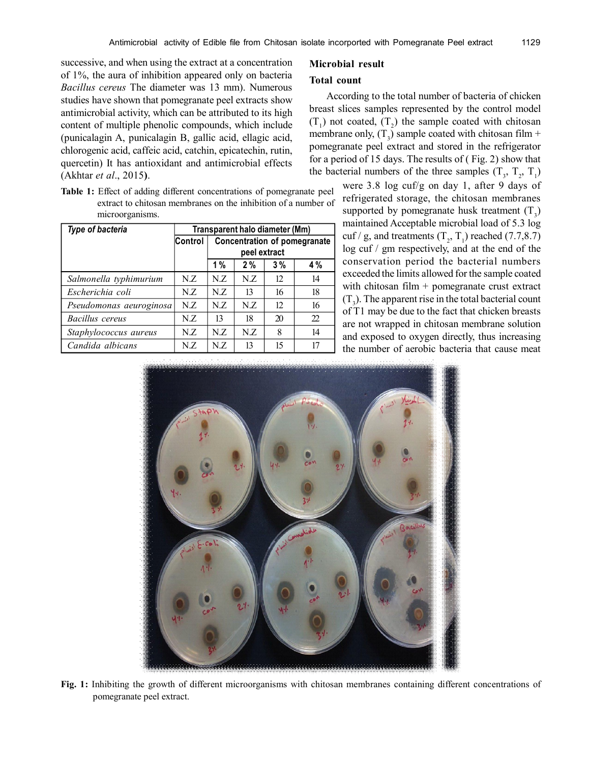successive, and when using the extract at a concentration of 1%, the aura of inhibition appeared only on bacteria *Bacillus cereus* The diameter was 13 mm). Numerous studies have shown that pomegranate peel extracts show antimicrobial activity, which can be attributed to its high content of multiple phenolic compounds, which include (punicalagin A, punicalagin B, gallic acid, ellagic acid, chlorogenic acid, caffeic acid, catchin, epicatechin, rutin, quercetin) It has antioxidant and antimicrobial effects (Akhtar *et al*., 2015**)**.

|  | <b>Table 1:</b> Effect of adding different concentrations of pomegranate peel |
|--|-------------------------------------------------------------------------------|
|  | extract to chitosan membranes on the inhibition of a number of                |
|  | microorganisms.                                                               |

| Type of bacteria        | Transparent halo diameter (Mm) |                                     |     |    |    |  |
|-------------------------|--------------------------------|-------------------------------------|-----|----|----|--|
|                         | Control                        | <b>Concentration of pomegranate</b> |     |    |    |  |
|                         |                                | peel extract                        |     |    |    |  |
|                         |                                | 1%                                  | 2%  | 3% | 4% |  |
| Salmonella typhimurium  | N.Z                            | N.Z                                 | N.Z | 12 | 14 |  |
| Escherichia coli        | N.Z                            | N.Z                                 | 13  | 16 | 18 |  |
| Pseudomonas aeuroginosa | N.Z                            | N.Z                                 | N.Z | 12 | 16 |  |
| Bacillus cereus         | N.Z                            | 13                                  | 18  | 20 | 22 |  |
| Staphylococcus aureus   | N.Z                            | N.Z                                 | N.Z | 8  | 14 |  |
| Candida albicans        | N.Z                            | N.Z                                 | 13  | 15 | 17 |  |

## **Microbial result**

## **Total count**

According to the total number of bacteria of chicken breast slices samples represented by the control model  $(T_1)$  not coated,  $(T_2)$  the sample coated with chitosan membrane only,  $(T_3)$  sample coated with chitosan film + pomegranate peel extract and stored in the refrigerator for a period of 15 days. The results of ( Fig. 2) show that the bacterial numbers of the three samples  $(T_3, T_2, T_1)$ 

were 3.8 log cuf/g on day 1, after 9 days of refrigerated storage, the chitosan membranes supported by pomegranate husk treatment  $(T_3)$ maintained Acceptable microbial load of 5.3 log cuf / g, and treatments  $(T_2, T_1)$  reached  $(7.7, 8.7)$ log cuf / gm respectively, and at the end of the conservation period the bacterial numbers exceeded the limits allowed for the sample coated with chitosan film + pomegranate crust extract  $(T_3)$ . The apparent rise in the total bacterial count of T1 may be due to the fact that chicken breasts are not wrapped in chitosan membrane solution and exposed to oxygen directly, thus increasing the number of aerobic bacteria that cause meat



**Fig. 1:** Inhibiting the growth of different microorganisms with chitosan membranes containing different concentrations of pomegranate peel extract.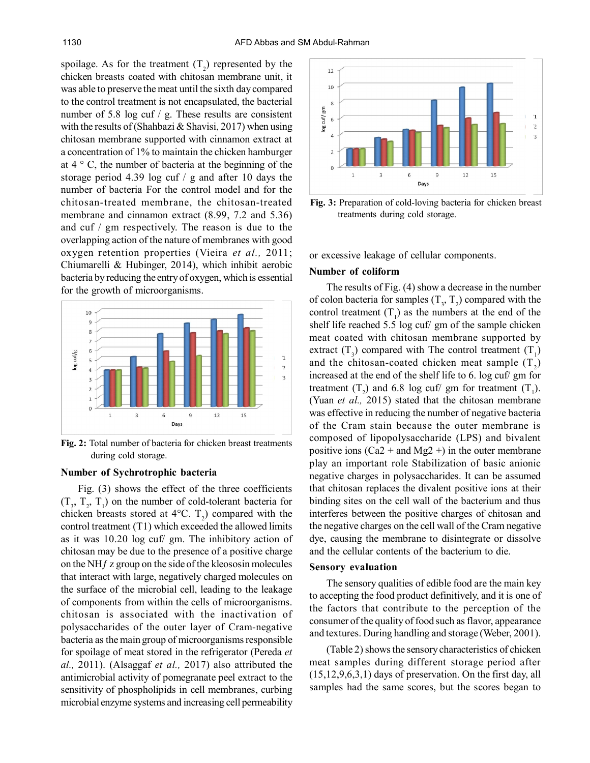spoilage. As for the treatment  $(T_2)$  represented by the chicken breasts coated with chitosan membrane unit, it was able to preserve the meat until the sixth day compared to the control treatment is not encapsulated, the bacterial number of 5.8 log cuf / g. These results are consistent with the results of (Shahbazi & Shavisi, 2017) when using chitosan membrane supported with cinnamon extract at a concentration of 1% to maintain the chicken hamburger at  $4 \circ C$ , the number of bacteria at the beginning of the storage period 4.39 log cuf / g and after 10 days the number of bacteria For the control model and for the chitosan-treated membrane, the chitosan-treated membrane and cinnamon extract (8.99, 7.2 and 5.36) and cuf / gm respectively. The reason is due to the overlapping action of the nature of membranes with good oxygen retention properties (Vieira *et al.,* 2011; Chiumarelli & Hubinger, 2014), which inhibit aerobic bacteria by reducing the entry of oxygen, which is essential for the growth of microorganisms.



**Fig. 2:** Total number of bacteria for chicken breast treatments during cold storage.

## **Number of Sychrotrophic bacteria**

Fig. (3) shows the effect of the three coefficients  $(T_3, T_2, T_1)$  on the number of cold-tolerant bacteria for chicken breasts stored at  $4^{\circ}$ C. T<sub>2</sub>) compared with the control treatment (T1) which exceeded the allowed limits as it was 10.20 log cuf/ gm. The inhibitory action of chitosan may be due to the presence of a positive charge on the NH $f$  z group on the side of the kleososin molecules that interact with large, negatively charged molecules on the surface of the microbial cell, leading to the leakage of components from within the cells of microorganisms. chitosan is associated with the inactivation of polysaccharides of the outer layer of Cram-negative bacteria as the main group of microorganisms responsible for spoilage of meat stored in the refrigerator (Pereda *et al.,* 2011). (Alsaggaf *et al.,* 2017) also attributed the antimicrobial activity of pomegranate peel extract to the sensitivity of phospholipids in cell membranes, curbing microbial enzyme systems and increasing cell permeability



**Fig. 3:** Preparation of cold-loving bacteria for chicken breast treatments during cold storage.

or excessive leakage of cellular components.

#### **Number of coliform**

The results of Fig. (4) show a decrease in the number of colon bacteria for samples  $(T_3, T_2)$  compared with the control treatment  $(T_1)$  as the numbers at the end of the shelf life reached 5.5 log cuf/ gm of the sample chicken meat coated with chitosan membrane supported by extract  $(T_3)$  compared with The control treatment  $(T_1)$ and the chitosan-coated chicken meat sample  $(T_2)$ increased at the end of the shelf life to 6. log cuf/ gm for treatment  $(T_2)$  and 6.8 log cuf/ gm for treatment  $(T_1)$ . (Yuan *et al.,* 2015) stated that the chitosan membrane was effective in reducing the number of negative bacteria of the Cram stain because the outer membrane is composed of lipopolysaccharide (LPS) and bivalent positive ions  $(Ca2 + and Mg2 +)$  in the outer membrane play an important role Stabilization of basic anionic negative charges in polysaccharides. It can be assumed that chitosan replaces the divalent positive ions at their binding sites on the cell wall of the bacterium and thus interferes between the positive charges of chitosan and the negative charges on the cell wall of the Cram negative dye, causing the membrane to disintegrate or dissolve and the cellular contents of the bacterium to die.

#### **Sensory evaluation**

The sensory qualities of edible food are the main key to accepting the food product definitively, and it is one of the factors that contribute to the perception of the consumer of the quality of food such as flavor, appearance and textures. During handling and storage (Weber, 2001).

(Table 2) shows the sensory characteristics of chicken meat samples during different storage period after (15,12,9,6,3,1) days of preservation. On the first day, all samples had the same scores, but the scores began to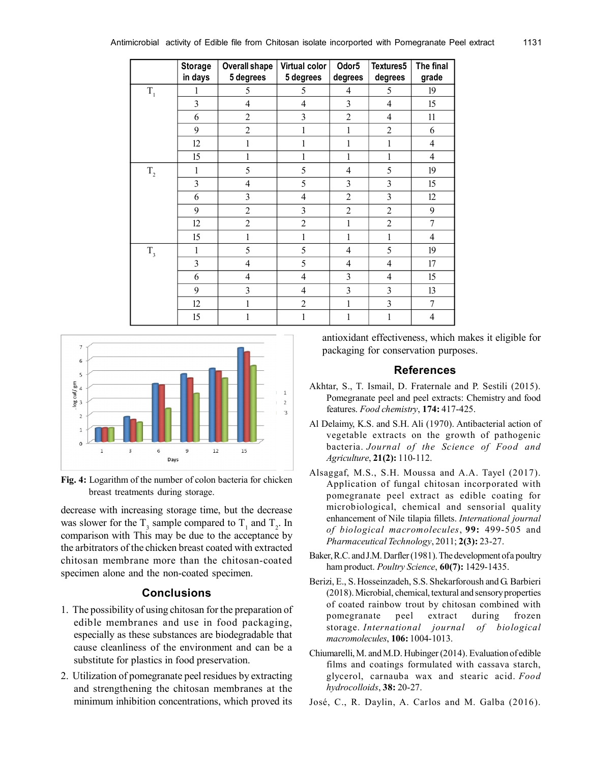|                | <b>Storage</b><br>in days | <b>Overall shape</b><br>5 degrees | Virtual color<br>5 degrees | Odor <sub>5</sub><br>degrees | Textures5<br>degrees | The final<br>grade |
|----------------|---------------------------|-----------------------------------|----------------------------|------------------------------|----------------------|--------------------|
| $\mathbf{T}_1$ | 1                         | 5                                 | 5                          | $\overline{4}$               | 5                    | 19                 |
|                | $\overline{3}$            | $\overline{4}$                    | $\overline{4}$             | 3                            | $\overline{4}$       | 15                 |
|                | 6                         | $\overline{2}$                    | 3                          | $\overline{2}$               | $\overline{4}$       | 11                 |
|                | 9                         | $\overline{2}$                    | 1                          | 1                            | $\overline{2}$       | 6                  |
|                | 12                        | $\mathbf{1}$                      | $\mathbf{1}$               | 1                            | 1                    | $\overline{4}$     |
|                | 15                        | 1                                 | 1                          | 1                            | 1                    | $\overline{4}$     |
| $T_{2}$        | $\mathbf{1}$              | 5                                 | 5                          | $\overline{4}$               | 5                    | 19                 |
|                | $\overline{3}$            | $\overline{4}$                    | 5                          | 3                            | 3                    | 15                 |
|                | 6                         | $\overline{3}$                    | $\overline{4}$             | $\overline{2}$               | 3                    | 12                 |
|                | 9                         | $\overline{c}$                    | 3                          | $\overline{c}$               | $\overline{2}$       | 9                  |
|                | 12                        | $\overline{2}$                    | $\overline{2}$             | $\mathbf{1}$                 | $\overline{2}$       | $\overline{7}$     |
|                | 15                        | 1                                 | 1                          | 1                            | 1                    | $\overline{4}$     |
| $T_{3}$        | 1                         | 5                                 | 5                          | $\overline{4}$               | 5                    | 19                 |
|                | 3                         | $\overline{4}$                    | 5                          | $\overline{4}$               | $\overline{4}$       | 17                 |
|                | 6                         | $\overline{4}$                    | $\overline{4}$             | 3                            | $\overline{4}$       | 15                 |
|                | 9                         | $\overline{3}$                    | $\overline{4}$             | $\overline{3}$               | 3                    | 13                 |
|                | 12                        | $\mathbf{1}$                      | $\overline{2}$             | 1                            | 3                    | 7                  |
|                | 15                        | $\mathbf{1}$                      | $\,1$                      | $\mathbf{1}$                 | $\mathbf{1}$         | $\overline{4}$     |



**Fig. 4:** Logarithm of the number of colon bacteria for chicken breast treatments during storage.

decrease with increasing storage time, but the decrease was slower for the  $T_3$  sample compared to  $T_1$  and  $T_2$ . In comparison with This may be due to the acceptance by the arbitrators of the chicken breast coated with extracted chitosan membrane more than the chitosan-coated specimen alone and the non-coated specimen.

# **Conclusions**

- 1. The possibility of using chitosan for the preparation of edible membranes and use in food packaging, especially as these substances are biodegradable that cause cleanliness of the environment and can be a substitute for plastics in food preservation.
- 2. Utilization of pomegranate peel residues by extracting and strengthening the chitosan membranes at the minimum inhibition concentrations, which proved its

antioxidant effectiveness, which makes it eligible for packaging for conservation purposes.

# **References**

- Akhtar, S., T. Ismail, D. Fraternale and P. Sestili (2015). Pomegranate peel and peel extracts: Chemistry and food features. *Food chemistry*, **174:** 417-425.
- Al Delaimy, K.S. and S.H. Ali (1970). Antibacterial action of vegetable extracts on the growth of pathogenic bacteria. *Journal of the Science of Food and Agriculture*, **21(2):** 110-112.
- Alsaggaf, M.S., S.H. Moussa and A.A. Tayel (2017). Application of fungal chitosan incorporated with pomegranate peel extract as edible coating for microbiological, chemical and sensorial quality enhancement of Nile tilapia fillets. *International journal of biological macromolecules*, **99:** 499-505 and *Pharmaceutical Technology*, 2011; **2(3):** 23-27.
- Baker, R.C. and J.M. Darfler (1981). The development of a poultry ham product. *Poultry Science*, **60(7):** 1429-1435.
- Berizi, E., S. Hosseinzadeh, S.S. Shekarforoush and G. Barbieri (2018). Microbial, chemical, textural and sensory properties of coated rainbow trout by chitosan combined with pomegranate peel extract during frozen storage. *International journal of biological macromolecules*, **106:** 1004-1013.
- Chiumarelli, M. and M.D. Hubinger (2014). Evaluation of edible films and coatings formulated with cassava starch, glycerol, carnauba wax and stearic acid. *Food hydrocolloids*, **38:** 20-27.
- José, C., R. Daylin, A. Carlos and M. Galba (2016).